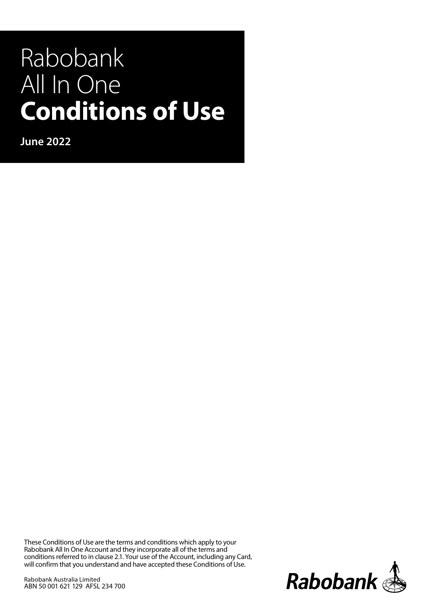# Rabobank All In One **Conditions of Use**

**June 2022**

These Conditions of Use are the terms and conditions which apply to your Rabobank All In One Account and they incorporate all of the terms and conditions referred to in clause 2.1. Your use of the Account, including any Card, will confirm that you understand and have accepted these Conditions of Use.

Rabobank Australia Limited ABN 50 001 621 129 AFSL 234 700

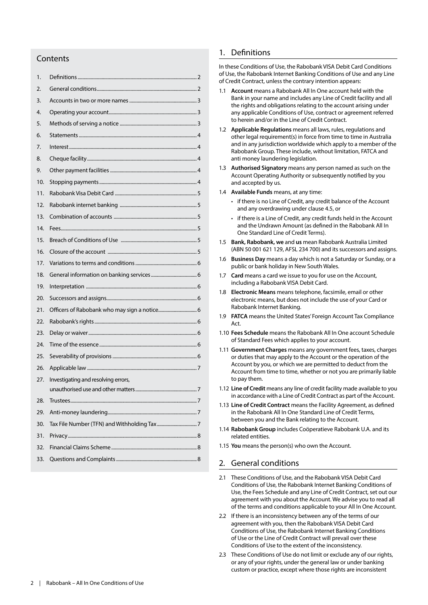## **Contents**

| 1.  |                                     |
|-----|-------------------------------------|
| 2.  |                                     |
| 3.  |                                     |
| 4.  |                                     |
| 5.  |                                     |
| 6.  |                                     |
| 7.  |                                     |
| 8.  |                                     |
| 9.  |                                     |
| 10. |                                     |
| 11. |                                     |
| 12. |                                     |
| 13. |                                     |
| 14. |                                     |
| 15. |                                     |
| 16. |                                     |
| 17. |                                     |
| 18. |                                     |
| 19. |                                     |
| 20. |                                     |
| 21. |                                     |
| 22. |                                     |
| 23. |                                     |
| 24. |                                     |
| 25. |                                     |
| 26. |                                     |
| 27. | Investigating and resolving errors, |
|     |                                     |
| 28. |                                     |
| 29. |                                     |
| 30. |                                     |
| 31. |                                     |
| 32. |                                     |
| 33. |                                     |

# 1. Definitions

In these Conditions of Use, the Rabobank VISA Debit Card Conditions of Use, the Rabobank Internet Banking Conditions of Use and any Line of Credit Contract, unless the contrary intention appears:

- 1.1 **Account** means a Rabobank All In One account held with the Bank in your name and includes any Line of Credit facility and all the rights and obligations relating to the account arising under any applicable Conditions of Use, contract or agreement referred to herein and/or in the Line of Credit Contract.
- 1.2 **Applicable Regulations** means all laws, rules, regulations and other legal requirement(s) in force from time to time in Australia and in any jurisdiction worldwide which apply to a member of the Rabobank Group. These include, without limitation, FATCA and anti money laundering legislation.
- 1.3 **Authorised Signatory** means any person named as such on the Account Operating Authority or subsequently notified by you and accepted by us.
- 1.4 **Available Funds** means, at any time:
	- if there is no Line of Credit, any credit balance of the Account and any overdrawing under clause 4.5, or
	- if there is a Line of Credit, any credit funds held in the Account and the Undrawn Amount (as defined in the Rabobank All In One Standard Line of Credit Terms).
- 1.5 **Bank, Rabobank, we** and **us** mean Rabobank Australia Limited (ABN 50 001 621 129, AFSL 234 700) and its successors and assigns.
- 1.6 **Business Day** means a day which is not a Saturday or Sunday, or a public or bank holiday in New South Wales.
- 1.7 **Card** means a card we issue to you for use on the Account, including a Rabobank VISA Debit Card.
- 1.8 **Electronic Means** means telephone, facsimile, email or other electronic means, but does not include the use of your Card or Rabobank Internet Banking.
- 1.9 **FATCA** means the United States' Foreign Account Tax Compliance Act.
- 1.10 **Fees Schedule** means the Rabobank All In One account Schedule of Standard Fees which applies to your account.
- 1.11 **Government Charges** means any government fees, taxes, charges or duties that may apply to the Account or the operation of the Account by you, or which we are permitted to deduct from the Account from time to time, whether or not you are primarily liable to pay them.
- 1.12 **Line of Credit** means any line of credit facility made available to you in accordance with a Line of Credit Contract as part of the Account.
- 1.13 **Line of Credit Contract** means the Facility Agreement, as defined in the Rabobank All In One Standard Line of Credit Terms, between you and the Bank relating to the Account.
- 1.14 **Rabobank Group** includes Coöperatieve Rabobank U.A. and its related entities.
- 1.15 **You** means the person(s) who own the Account.

## 2. General conditions

- 2.1 These Conditions of Use, and the Rabobank VISA Debit Card Conditions of Use, the Rabobank Internet Banking Conditions of Use, the Fees Schedule and any Line of Credit Contract, set out our agreement with you about the Account. We advise you to read all of the terms and conditions applicable to your All In One Account.
- 2.2 If there is an inconsistency between any of the terms of our agreement with you, then the Rabobank VISA Debit Card Conditions of Use, the Rabobank Internet Banking Conditions of Use or the Line of Credit Contract will prevail over these Conditions of Use to the extent of the inconsistency.
- 2.3 These Conditions of Use do not limit or exclude any of our rights, or any of your rights, under the general law or under banking custom or practice, except where those rights are inconsistent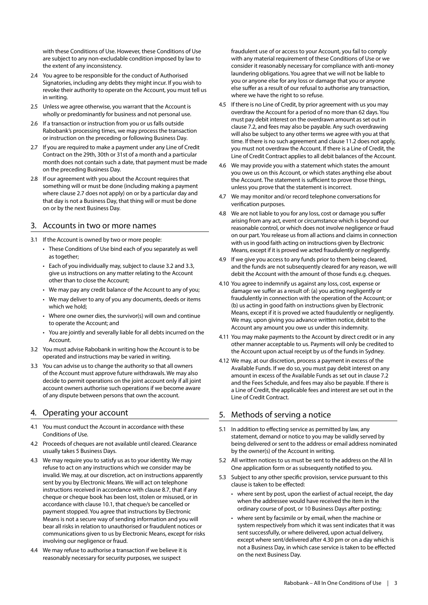with these Conditions of Use. However, these Conditions of Use are subject to any non-excludable condition imposed by law to the extent of any inconsistency.

- 2.4 You agree to be responsible for the conduct of Authorised Signatories, including any debts they might incur. If you wish to revoke their authority to operate on the Account, you must tell us in writing.
- 2.5 Unless we agree otherwise, you warrant that the Account is wholly or predominantly for business and not personal use.
- 2.6 If a transaction or instruction from you or us falls outside Rabobank's processing times, we may process the transaction or instruction on the preceding or following Business Day.
- 2.7 If you are required to make a payment under any Line of Credit Contract on the 29th, 30th or 31st of a month and a particular month does not contain such a date, that payment must be made on the preceding Business Day.
- 2.8 If our agreement with you about the Account requires that something will or must be done (including making a payment where clause 2.7 does not apply) on or by a particular day and that day is not a Business Day, that thing will or must be done on or by the next Business Day.

## 3. Accounts in two or more names

- 3.1 If the Account is owned by two or more people:
	- These Conditions of Use bind each of you separately as well as together;
	- Each of you individually may, subject to clause 3.2 and 3.3, give us instructions on any matter relating to the Account other than to close the Account;
	- We may pay any credit balance of the Account to any of you;
	- We may deliver to any of you any documents, deeds or items which we hold;
	- Where one owner dies, the survivor(s) will own and continue to operate the Account; and
	- You are jointly and severally liable for all debts incurred on the Account.
- 3.2 You must advise Rabobank in writing how the Account is to be operated and instructions may be varied in writing.
- 3.3 You can advise us to change the authority so that all owners of the Account must approve future withdrawals. We may also decide to permit operations on the joint account only if all joint account owners authorise such operations if we become aware of any dispute between persons that own the account.

# 4. Operating your account

- 4.1 You must conduct the Account in accordance with these Conditions of Use.
- 4.2 Proceeds of cheques are not available until cleared. Clearance usually takes 5 Business Days.
- 4.3 We may require you to satisfy us as to your identity. We may refuse to act on any instructions which we consider may be invalid. We may, at our discretion, act on instructions apparently sent by you by Electronic Means. We will act on telephone instructions received in accordance with clause 8.7, that if any cheque or cheque book has been lost, stolen or misused, or in accordance with clause 10.1, that cheque/s be cancelled or payment stopped. You agree that instructions by Electronic Means is not a secure way of sending information and you will bear all risks in relation to unauthorised or fraudulent notices or communications given to us by Electronic Means, except for risks involving our negligence or fraud.
- 4.4 We may refuse to authorise a transaction if we believe it is reasonably necessary for security purposes, we suspect

fraudulent use of or access to your Account, you fail to comply with any material requirement of these Conditions of Use or we consider it reasonably necessary for compliance with anti-money laundering obligations. You agree that we will not be liable to you or anyone else for any loss or damage that you or anyone else suffer as a result of our refusal to authorise any transaction, where we have the right to so refuse.

- 4.5 If there is no Line of Credit, by prior agreement with us you may overdraw the Account for a period of no more than 62 days. You must pay debit interest on the overdrawn amount as set out in clause 7.2, and fees may also be payable. Any such overdrawing will also be subject to any other terms we agree with you at that time. If there is no such agreement and clause 11.2 does not apply, you must not overdraw the Account. If there is a Line of Credit, the Line of Credit Contract applies to all debit balances of the Account.
- 4.6 We may provide you with a statement which states the amount you owe us on this Account, or which states anything else about the Account. The statement is sufficient to prove those things, unless you prove that the statement is incorrect.
- 4.7 We may monitor and/or record telephone conversations for verification purposes.
- 4.8 We are not liable to you for any loss, cost or damage you suffer arising from any act, event or circumstance which is beyond our reasonable control, or which does not involve negligence or fraud on our part. You release us from all actions and claims in connection with us in good faith acting on instructions given by Electronic Means, except if it is proved we acted fraudulently or negligently.
- 4.9 If we give you access to any funds prior to them being cleared, and the funds are not subsequently cleared for any reason, we will debit the Account with the amount of those funds e.g. cheques.
- 4.10 You agree to indemnify us against any loss, cost, expense or damage we suffer as a result of: (a) you acting negligently or fraudulently in connection with the operation of the Account; or (b) us acting in good faith on instructions given by Electronic Means, except if it is proved we acted fraudulently or negligently. We may, upon giving you advance written notice, debit to the Account any amount you owe us under this indemnity.
- 4.11 You may make payments to the Account by direct credit or in any other manner acceptable to us. Payments will only be credited to the Account upon actual receipt by us of the funds in Sydney.
- 4.12 We may, at our discretion, process a payment in excess of the Available Funds. If we do so, you must pay debit interest on any amount in excess of the Available Funds as set out in clause 7.2 and the Fees Schedule, and fees may also be payable. If there is a Line of Credit, the applicable fees and interest are set out in the Line of Credit Contract.

# 5. Methods of serving a notice

- 5.1 In addition to effecting service as permitted by law, any statement, demand or notice to you may be validly served by being delivered or sent to the address or email address nominated by the owner(s) of the Account in writing.
- 5.2 All written notices to us must be sent to the address on the All In One application form or as subsequently notified to you.
- 5.3 Subject to any other specific provision, service pursuant to this clause is taken to be effected:
	- where sent by post, upon the earliest of actual receipt, the day when the addressee would have received the item in the ordinary course of post, or 10 Business Days after posting;
	- where sent by facsimile or by email, when the machine or system respectively from which it was sent indicates that it was sent successfully, or where delivered, upon actual delivery, except where sent/delivered after 4.30 pm or on a day which is not a Business Day, in which case service is taken to be effected on the next Business Day.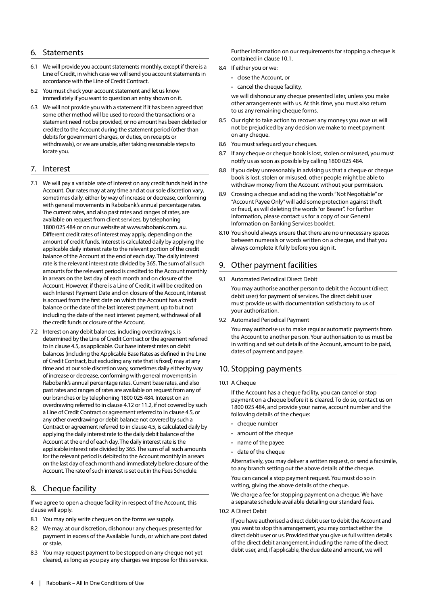## 6. Statements

- 6.1 We will provide you account statements monthly, except if there is a Line of Credit, in which case we will send you account statements in accordance with the Line of Credit Contract.
- 6.2 You must check your account statement and let us know immediately if you want to question an entry shown on it.
- 6.3 We will not provide you with a statement if it has been agreed that some other method will be used to record the transactions or a statement need not be provided, or no amount has been debited or credited to the Account during the statement period (other than debits for government charges, or duties, on receipts or withdrawals), or we are unable, after taking reasonable steps to locate you.

#### 7. Interest

- 7.1 We will pay a variable rate of interest on any credit funds held in the Account. Our rates may at any time and at our sole discretion vary, sometimes daily, either by way of increase or decrease, conforming with general movements in Rabobank's annual percentage rates. The current rates, and also past rates and ranges of rates, are available on request from client services, by telephoning 1800 025 484 or on our website at www.rabobank.com. au. Different credit rates of interest may apply, depending on the amount of credit funds. Interest is calculated daily by applying the applicable daily interest rate to the relevant portion of the credit balance of the Account at the end of each day. The daily interest rate is the relevant interest rate divided by 365. The sum of all such amounts for the relevant period is credited to the Account monthly in arrears on the last day of each month and on closure of the Account. However, if there is a Line of Credit, it will be credited on each Interest Payment Date and on closure of the Account, Interest is accrued from the first date on which the Account has a credit balance or the date of the last interest payment, up to but not including the date of the next interest payment, withdrawal of all the credit funds or closure of the Account.
- 7.2 Interest on any debit balances, including overdrawings, is determined by the Line of Credit Contract or the agreement referred to in clause 4.5, as applicable. Our base interest rates on debit balances (including the Applicable Base Rates as defined in the Line of Credit Contract, but excluding any rate that is fixed) may at any time and at our sole discretion vary, sometimes daily either by way of increase or decrease, conforming with general movements in Rabobank's annual percentage rates. Current base rates, and also past rates and ranges of rates are available on request from any of our branches or by telephoning 1800 025 484. Interest on an overdrawing referred to in clause 4.12 or 11.2, if not covered by such a Line of Credit Contract or agreement referred to in clause 4.5, or any other overdrawing or debit balance not covered by such a Contract or agreement referred to in clause 4.5, is calculated daily by applying the daily interest rate to the daily debit balance of the Account at the end of each day. The daily interest rate is the applicable interest rate divided by 365. The sum of all such amounts for the relevant period is debited to the Account monthly in arrears on the last day of each month and immediately before closure of the Account. The rate of such interest is set out in the Fees Schedule.

## 8. Cheque facility

lf we agree to open a cheque facility in respect of the Account, this clause will apply.

- 8.1 You may only write cheques on the forms we supply.
- 8.2 We may, at our discretion, dishonour any cheques presented for payment in excess of the Available Funds, or which are post dated or stale.
- 8.3 You may request payment to be stopped on any cheque not yet cleared, as long as you pay any charges we impose for this service.

Further information on our requirements for stopping a cheque is contained in clause 10.1.

- 8.4 If either you or we:
	- close the Account, or
	- cancel the cheque facility,

we will dishonour any cheque presented later, unless you make other arrangements with us. At this time, you must also return to us any remaining cheque forms.

- 8.5 Our right to take action to recover any moneys you owe us will not be prejudiced by any decision we make to meet payment on any cheque.
- 8.6 You must safeguard your cheques.
- 8.7 If any cheque or cheque book is lost, stolen or misused, you must notify us as soon as possible by calling 1800 025 484.
- 8.8 lf you delay unreasonably in advising us that a cheque or cheque book is lost, stolen or misused, other people might be able to withdraw money from the Account without your permission.
- 8.9 Crossing a cheque and adding the words "Not Negotiable" or "Account Payee Only" will add some protection against theft or fraud, as will deleting the words "or Bearer". For further information, please contact us for a copy of our General Information on Banking Services booklet.
- 8.10 You should always ensure that there are no unnecessary spaces between numerals or words written on a cheque, and that you always complete it fully before you sign it.

## 9. Other payment facilities

9.1 Automated Periodical Direct Debit

You may authorise another person to debit the Account (direct debit user) for payment of services. The direct debit user must provide us with documentation satisfactory to us of your authorisation.

9.2 Automated Periodical Payment

You may authorise us to make regular automatic payments from the Account to another person. Your authorisation to us must be in writing and set out details of the Account, amount to be paid, dates of payment and payee.

# 10. Stopping payments

10.1 A Cheque

If the Account has a cheque facility, you can cancel or stop payment on a cheque before it is cleared. To do so, contact us on 1800 025 484, and provide your name, account number and the following details of the cheque:

- $\cdot$  cheque number
- amount of the cheque
- name of the payee
- date of the cheque

Alternatively, you may deliver a written request, or send a facsimile, to any branch setting out the above details of the cheque. You can cancel a stop payment request. You must do so in writing, giving the above details of the cheque.

We charge a fee for stopping payment on a cheque. We have a separate schedule available detailing our standard fees.

10.2 A Direct Debit

If you have authorised a direct debit user to debit the Account and you want to stop this arrangement, you may contact either the direct debit user or us. Provided that you give us full written details of the direct debit arrangement, including the name of the direct debit user, and, if applicable, the due date and amount, we will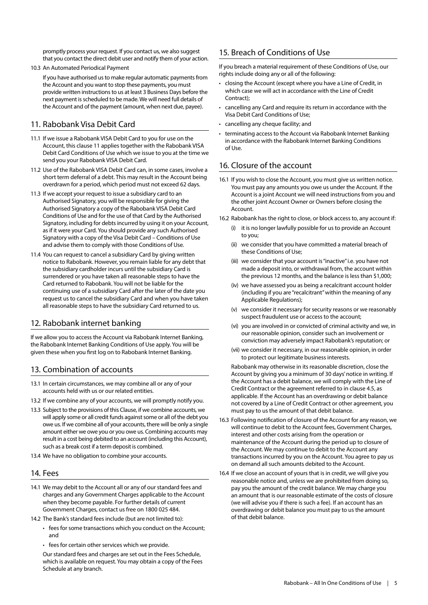promptly process your request. If you contact us, we also suggest that you contact the direct debit user and notify them of your action.

10.3 An Automated Periodical Payment

If you have authorised us to make regular automatic payments from the Account and you want to stop these payments, you must provide written instructions to us at least 3 Business Days before the next payment is scheduled to be made. We will need full details of the Account and of the payment (amount, when next due, payee).

# 11. Rabobank Visa Debit Card

- 11.1 If we issue a Rabobank VISA Debit Card to you for use on the Account, this clause 11 applies together with the Rabobank VISA Debit Card Conditions of Use which we issue to you at the time we send you your Rabobank VISA Debit Card.
- 11.2 Use of the Rabobank VISA Debit Card can, in some cases, involve a short term deferral of a debt. This may result in the Account being overdrawn for a period, which period must not exceed 62 days.
- 11.3 If we accept your request to issue a subsidiary card to an Authorised Signatory, you will be responsible for giving the Authorised Signatory a copy of the Rabobank VISA Debit Card Conditions of Use and for the use of that Card by the Authorised Signatory, including for debts incurred by using it on your Account, as if it were your Card. You should provide any such Authorised Signatory with a copy of the Visa Debit Card – Conditions of Use and advise them to comply with those Conditions of Use.
- 11.4 You can request to cancel a subsidiary Card by giving written notice to Rabobank. However, you remain liable for any debt that the subsidiary cardholder incurs until the subsidiary Card is surrendered or you have taken all reasonable steps to have the Card returned to Rabobank. You will not be liable for the continuing use of a subsidiary Card after the later of the date you request us to cancel the subsidiary Card and when you have taken all reasonable steps to have the subsidiary Card returned to us.

# 12. Rabobank internet banking

If we allow you to access the Account via Rabobank Internet Banking, the Rabobank Internet Banking Conditions of Use apply. You will be given these when you first log on to Rabobank Internet Banking.

# 13. Combination of accounts

- 13.1 In certain circumstances, we may combine all or any of your accounts held with us or our related entities.
- 13.2 If we combine any of your accounts, we will promptly notify you.
- 13.3 Subject to the provisions of this Clause, if we combine accounts, we will apply some or all credit funds against some or all of the debt you owe us. If we combine all of your accounts, there will be only a single amount either we owe you or you owe us. Combining accounts may result in a cost being debited to an account (including this Account), such as a break cost if a term deposit is combined.
- 13.4 We have no obligation to combine your accounts.

## 14. Fees

- 14.1 We may debit to the Account all or any of our standard fees and charges and any Government Charges applicable to the Account when they become payable. For further details of current Government Charges, contact us free on 1800 025 484.
- 14.2 The Bank's standard fees include (but are not limited to):
	- fees for some transactions which you conduct on the Account; and
	- fees for certain other services which we provide.

Our standard fees and charges are set out in the Fees Schedule, which is available on request. You may obtain a copy of the Fees Schedule at any branch.

# 15. Breach of Conditions of Use

If you breach a material requirement of these Conditions of Use, our rights include doing any or all of the following:

- closing the Account (except where you have a Line of Credit, in which case we will act in accordance with the Line of Credit Contract);
- cancelling any Card and require its return in accordance with the Visa Debit Card Conditions of Use;
- cancelling any cheque facility; and
- terminating access to the Account via Rabobank Internet Banking in accordance with the Rabobank Internet Banking Conditions  $off$   $Use$

# 16. Closure of the account

16.1 If you wish to close the Account, you must give us written notice. You must pay any amounts you owe us under the Account. If the Account is a joint Account we will need instructions from you and the other joint Account Owner or Owners before closing the Account.

16.2 Rabobank has the right to close, or block access to, any account if:

- (i) it is no longer lawfully possible for us to provide an Account to you;
- (ii) we consider that you have committed a material breach of these Conditions of Use;
- (iii) we consider that your account is "inactive" i.e. you have not made a deposit into, or withdrawal from, the account within the previous 12 months, and the balance is less than \$1,000;
- (iv) we have assessed you as being a recalcitrant account holder (including if you are "recalcitrant" within the meaning of any Applicable Regulations);
- (v) we consider it necessary for security reasons or we reasonably suspect fraudulent use or access to the account;
- (vi) you are involved in or convicted of criminal activity and we, in our reasonable opinion, consider such an involvement or conviction may adversely impact Rabobank's reputation; or
- (vii) we consider it necessary, in our reasonable opinion, in order to protect our legitimate business interests.

Rabobank may otherwise in its reasonable discretion, close the Account by giving you a minimum of 30 days' notice in writing. If the Account has a debit balance, we will comply with the Line of Credit Contract or the agreement referred to in clause 4.5, as applicable. If the Account has an overdrawing or debit balance not covered by a Line of Credit Contract or other agreement, you must pay to us the amount of that debit balance.

- 16.3 Following notification of closure of the Account for any reason, we will continue to debit to the Account fees, Government Charges, interest and other costs arising from the operation or maintenance of the Account during the period up to closure of the Account. We may continue to debit to the Account any transactions incurred by you on the Account. You agree to pay us on demand all such amounts debited to the Account.
- 16.4 If we close an account of yours that is in credit, we will give you reasonable notice and, unless we are prohibited from doing so, pay you the amount of the credit balance. We may charge you an amount that is our reasonable estimate of the costs of closure (we will advise you if there is such a fee). If an account has an overdrawing or debit balance you must pay to us the amount of that debit balance.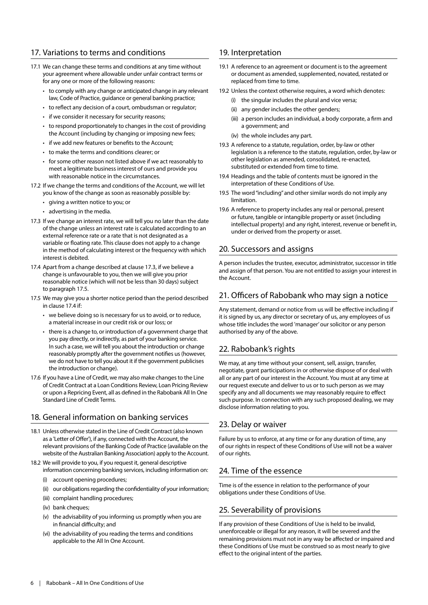# 17. Variations to terms and conditions

- 17.1 We can change these terms and conditions at any time without your agreement where allowable under unfair contract terms or for any one or more of the following reasons:
	- to comply with any change or anticipated change in any relevant law, Code of Practice, guidance or general banking practice;
	- to reflect any decision of a court, ombudsman or regulator;
	- if we consider it necessary for security reasons;
	- to respond proportionately to changes in the cost of providing the Account (including by changing or imposing new fees;
	- if we add new features or benefits to the Account;
	- to make the terms and conditions clearer; or
	- for some other reason not listed above if we act reasonably to meet a legitimate business interest of ours and provide you with reasonable notice in the circumstances.
- 17.2 If we change the terms and conditions of the Account, we will let you know of the change as soon as reasonably possible by:
	- giving a written notice to you; or
	- advertising in the media.
- 17.3 If we change an interest rate, we will tell you no later than the date of the change unless an interest rate is calculated according to an external reference rate or a rate that is not designated as a variable or floating rate. This clause does not apply to a change in the method of calculating interest or the frequency with which interest is debited.
- 17.4 Apart from a change described at clause 17.3, if we believe a change is unfavourable to you, then we will give you prior reasonable notice (which will not be less than 30 days) subject to paragraph 17.5.
- 17.5 We may give you a shorter notice period than the period described in clause 17.4 if
	- we believe doing so is necessary for us to avoid, or to reduce, a material increase in our credit risk or our loss; or
	- there is a change to, or introduction of a government charge that you pay directly, or indirectly, as part of your banking service. In such a case, we will tell you about the introduction or change reasonably promptly after the government notifies us (however, we do not have to tell you about it if the government publicises the introduction or change).
- 17.6 If you have a Line of Credit, we may also make changes to the Line of Credit Contract at a Loan Conditions Review, Loan Pricing Review or upon a Repricing Event, all as defined in the Rabobank All In One Standard Line of Credit Terms.

# 18. General information on banking services

- 18.1 Unless otherwise stated in the Line of Credit Contract (also known as a 'Letter of Offer'), if any, connected with the Account, the relevant provisions of the Banking Code of Practice (available on the website of the Australian Banking Association) apply to the Account.
- 18.2 We will provide to you, if you request it, general descriptive information concerning banking services, including information on:
	- (i) account opening procedures;
	- (ii) our obligations regarding the confidentiality of your information;
	- (iii) complaint handling procedures;
	- (iv) bank cheques;
	- (v) the advisability of you informing us promptly when you are in financial difficulty; and
	- (vi) the advisability of you reading the terms and conditions applicable to the All In One Account.

## 19. Interpretation

- 19.1 A reference to an agreement or document is to the agreement or document as amended, supplemented, novated, restated or replaced from time to time.
- 19.2 Unless the context otherwise requires, a word which denotes:
	- (i) the singular includes the plural and vice versa;
	- (ii) any gender includes the other genders;
	- (iii) a person includes an individual, a body corporate, a firm and a government; and
	- (iv) the whole includes any part.
- 19.3 A reference to a statute, regulation, order, by-law or other legislation is a reference to the statute, regulation, order, by-law or other legislation as amended, consolidated, re-enacted, substituted or extended from time to time.
- 19.4 Headings and the table of contents must be ignored in the interpretation of these Conditions of Use.
- 19.5 The word "including" and other similar words do not imply any limitation.
- 19.6 A reference to property includes any real or personal, present or future, tangible or intangible property or asset (including intellectual property) and any right, interest, revenue or benefit in, under or derived from the property or asset.

## 20. Successors and assigns

A person includes the trustee, executor, administrator, successor in title and assign of that person. You are not entitled to assign your interest in the Account.

## 21. Officers of Rabobank who may sign a notice

Any statement, demand or notice from us will be effective including if it is signed by us, any director or secretary of us, any employees of us whose title includes the word 'manager' our solicitor or any person authorised by any of the above.

# 22. Rabobank's rights

We may, at any time without your consent, sell, assign, transfer, negotiate, grant participations in or otherwise dispose of or deal with all or any part of our interest in the Account. You must at any time at our request execute and deliver to us or to such person as we may specify any and all documents we may reasonably require to effect such purpose. In connection with any such proposed dealing, we may disclose information relating to you.

# 23. Delay or waiver

Failure by us to enforce, at any time or for any duration of time, any of our rights in respect of these Conditions of Use will not be a waiver of our rights.

# 24. Time of the essence

Time is of the essence in relation to the performance of your obligations under these Conditions of Use.

# 25. Severability of provisions

If any provision of these Conditions of Use is held to be invalid, unenforceable or illegal for any reason, it will be severed and the remaining provisions must not in any way be affected or impaired and these Conditions of Use must be construed so as most nearly to give effect to the original intent of the parties.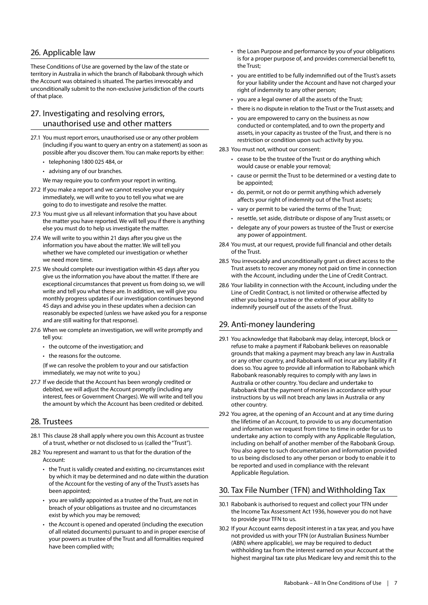# 26. Applicable law

These Conditions of Use are governed by the law of the state or territory in Australia in which the branch of Rabobank through which the Account was obtained is situated. The parties irrevocably and unconditionally submit to the non-exclusive jurisdiction of the courts of that place.

# 27. Investigating and resolving errors, unauthorised use and other matters

- 27.1 You must report errors, unauthorised use or any other problem (including if you want to query an entry on a statement) as soon as possible after you discover them. You can make reports by either:
	- telephoning 1800 025 484, or
	- advising any of our branches.

We may require you to confirm your report in writing.

- 27.2 If you make a report and we cannot resolve your enquiry immediately, we will write to you to tell you what we are going to do to investigate and resolve the matter.
- 27.3 You must give us all relevant information that you have about the matter you have reported. We will tell you if there is anything else you must do to help us investigate the matter.
- 27.4 We will write to you within 21 days after you give us the information you have about the matter. We will tell you whether we have completed our investigation or whether we need more time.
- 27.5 We should complete our investigation within 45 days after you give us the information you have about the matter. If there are exceptional circumstances that prevent us from doing so, we will write and tell you what these are. In addition, we will give you monthly progress updates if our investigation continues beyond 45 days and advise you in these updates when a decision can reasonably be expected (unless we have asked you for a response and are still waiting for that response).
- 27.6 When we complete an investigation, we will write promptly and tell you:
	- the outcome of the investigation; and
	- the reasons for the outcome.

(If we can resolve the problem to your and our satisfaction immediately, we may not write to you.)

27.7 If we decide that the Account has been wrongly credited or debited, we will adjust the Account promptly (including any interest, fees or Government Charges). We will write and tell you the amount by which the Account has been credited or debited.

#### 28. Trustees

- 28.1 This clause 28 shall apply where you own this Account as trustee of a trust, whether or not disclosed to us (called the "Trust").
- 28.2 You represent and warrant to us that for the duration of the Account:
	- the Trust is validly created and existing, no circumstances exist by which it may be determined and no date within the duration of the Account for the vesting of any of the Trust's assets has been appointed;
	- you are validly appointed as a trustee of the Trust, are not in breach of your obligations as trustee and no circumstances exist by which you may be removed;
	- the Account is opened and operated (including the execution of all related documents) pursuant to and in proper exercise of your powers as trustee of the Trust and all formalities required have been complied with;
- the Loan Purpose and performance by you of your obligations is for a proper purpose of, and provides commercial benefit to, the Trust;
- you are entitled to be fully indemnified out of the Trust's assets for your liability under the Account and have not charged your right of indemnity to any other person;
- you are a legal owner of all the assets of the Trust;
- there is no dispute in relation to the Trust or the Trust assets; and
- you are empowered to carry on the business as now conducted or contemplated, and to own the property and assets, in your capacity as trustee of the Trust, and there is no restriction or condition upon such activity by you.
- 28.3 You must not, without our consent:
	- cease to be the trustee of the Trust or do anything which would cause or enable your removal;
	- cause or permit the Trust to be determined or a vesting date to be appointed;
	- do, permit, or not do or permit anything which adversely affects your right of indemnity out of the Trust assets;
	- vary or permit to be varied the terms of the Trust;
	- resettle, set aside, distribute or dispose of any Trust assets; or
	- delegate any of your powers as trustee of the Trust or exercise any power of appointment.
- 28.4 You must, at our request, provide full financial and other details of the Trust.
- 28.5 You irrevocably and unconditionally grant us direct access to the Trust assets to recover any money not paid on time in connection with the Account, including under the Line of Credit Contract.
- 28.6 Your liability in connection with the Account, including under the Line of Credit Contract, is not limited or otherwise affected by either you being a trustee or the extent of your ability to indemnify yourself out of the assets of the Trust.

# 29. Anti-money laundering

- 29.1 You acknowledge that Rabobank may delay, intercept, block or refuse to make a payment if Rabobank believes on reasonable grounds that making a payment may breach any law in Australia or any other country, and Rabobank will not incur any liability if it does so. You agree to provide all information to Rabobank which Rabobank reasonably requires to comply with any laws in Australia or other country. You declare and undertake to Rabobank that the payment of monies in accordance with your instructions by us will not breach any laws in Australia or any other country.
- 29.2 You agree, at the opening of an Account and at any time during the lifetime of an Account, to provide to us any documentation and information we request from time to time in order for us to undertake any action to comply with any Applicable Regulation, including on behalf of another member of the Rabobank Group. You also agree to such documentation and information provided to us being disclosed to any other person or body to enable it to be reported and used in compliance with the relevant Applicable Regulation.

# 30. Tax File Number (TFN) and Withholding Tax

- 30.1 Rabobank is authorised to request and collect your TFN under the Income Tax Assessment Act 1936, however you do not have to provide your TFN to us.
- 30.2 If your Account earns deposit interest in a tax year, and you have not provided us with your TFN (or Australian Business Number (ABN) where applicable), we may be required to deduct withholding tax from the interest earned on your Account at the highest marginal tax rate plus Medicare levy and remit this to the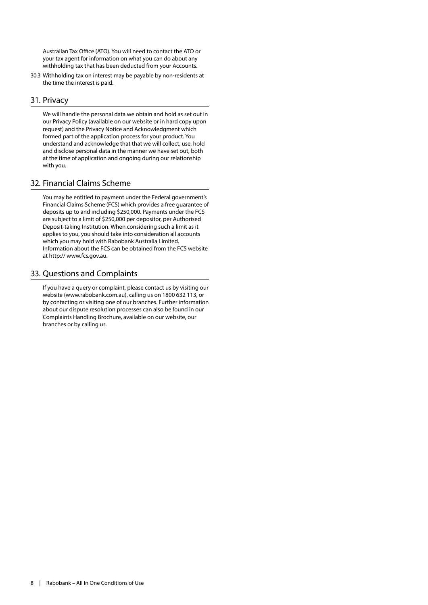Australian Tax Office (ATO). You will need to contact the ATO or your tax agent for information on what you can do about any withholding tax that has been deducted from your Accounts.

30.3 Withholding tax on interest may be payable by non-residents at the time the interest is paid.

## 31. Privacy

We will handle the personal data we obtain and hold as set out in our Privacy Policy (available on our website or in hard copy upon request) and the Privacy Notice and Acknowledgment which formed part of the application process for your product. You understand and acknowledge that that we will collect, use, hold and disclose personal data in the manner we have set out, both at the time of application and ongoing during our relationship with you.

#### 32. Financial Claims Scheme

You may be entitled to payment under the Federal government's Financial Claims Scheme (FCS) which provides a free guarantee of deposits up to and including \$250,000. Payments under the FCS are subject to a limit of \$250,000 per depositor, per Authorised Deposit-taking Institution. When considering such a limit as it applies to you, you should take into consideration all accounts which you may hold with Rabobank Australia Limited. Information about the FCS can be obtained from the FCS website at http:// www.fcs.gov.au.

## 33. Questions and Complaints

If you have a query or complaint, please contact us by visiting our website (www.rabobank.com.au), calling us on 1800 632 113, or by contacting or visiting one of our branches. Further information about our dispute resolution processes can also be found in our Complaints Handling Brochure, available on our website, our branches or by calling us.